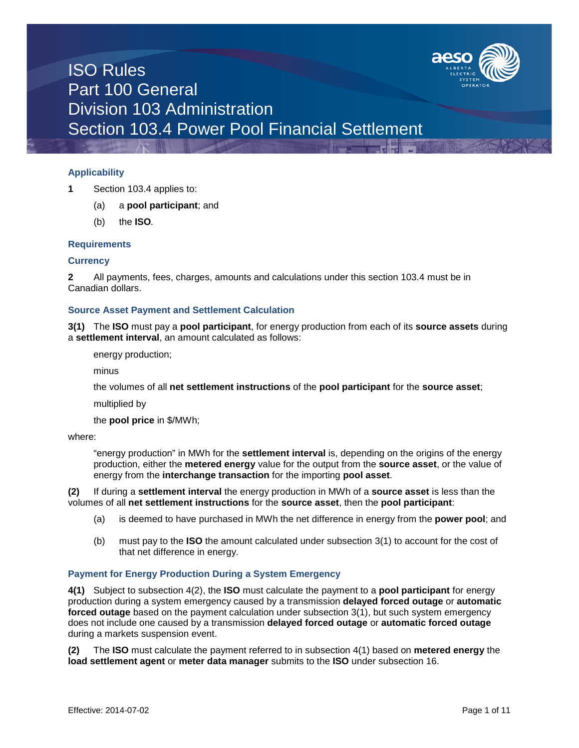

## **Applicability**

- **1** Section 103.4 applies to:
	- (a) a **pool participant**; and
	- (b) the **ISO***.*

#### **Requirements**

#### **Currency**

**2** All payments, fees, charges, amounts and calculations under this section 103.4 must be in Canadian dollars.

#### **Source Asset Payment and Settlement Calculation**

**3(1)** The **ISO** must pay a **pool participant**, for energy production from each of its **source assets** during a **settlement interval**, an amount calculated as follows:

energy production;

minus

the volumes of all **net settlement instructions** of the **pool participant** for the **source asset**;

multiplied by

the **pool price** in \$/MWh;

#### where:

"energy production" in MWh for the **settlement interval** is, depending on the origins of the energy production, either the **metered energy** value for the output from the **source asset**, or the value of energy from the **interchange transaction** for the importing **pool asset**.

**(2)** If during a **settlement interval** the energy production in MWh of a **source asset** is less than the volumes of all **net settlement instructions** for the **source asset**, then the **pool participant**:

- (a) is deemed to have purchased in MWh the net difference in energy from the **power pool**; and
- (b) must pay to the **ISO** the amount calculated under subsection 3(1) to account for the cost of that net difference in energy.

### **Payment for Energy Production During a System Emergency**

**4(1)** Subject to subsection 4(2), the **ISO** must calculate the payment to a **pool participant** for energy production during a system emergency caused by a transmission **delayed forced outage** or **automatic forced outage** based on the payment calculation under subsection 3(1), but such system emergency does not include one caused by a transmission **delayed forced outage** or **automatic forced outage**  during a markets suspension event.

**(2)** The **ISO** must calculate the payment referred to in subsection 4(1) based on **metered energy** the **load settlement agent** or **meter data manager** submits to the **ISO** under subsection 16.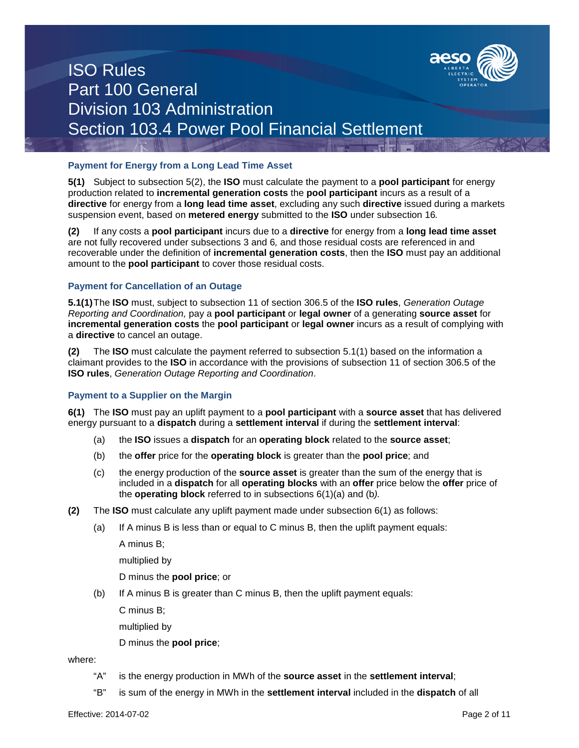

### **Payment for Energy from a Long Lead Time Asset**

**5(1)** Subject to subsection 5(2), the **ISO** must calculate the payment to a **pool participant** for energy production related to **incremental generation costs** the **pool participant** incurs as a result of a **directive** for energy from a **long lead time asset**, excluding any such **directive** issued during a markets suspension event, based on **metered energy** submitted to the **ISO** under subsection 16*.*

**(2)** If any costs a **pool participant** incurs due to a **directive** for energy from a **long lead time asset**  are not fully recovered under subsections 3 and 6*,* and those residual costs are referenced in and recoverable under the definition of **incremental generation costs**, then the **ISO** must pay an additional amount to the **pool participant** to cover those residual costs.

### **Payment for Cancellation of an Outage**

**5.1(1)**The **ISO** must, subject to subsection 11 of section 306.5 of the **ISO rules**, *Generation Outage Reporting and Coordination,* pay a **pool participant** or **legal owner** of a generating **source asset** for **incremental generation costs** the **pool participant** or **legal owner** incurs as a result of complying with a **directive** to cancel an outage.

**(2)** The **ISO** must calculate the payment referred to subsection 5.1(1) based on the information a claimant provides to the **ISO** in accordance with the provisions of subsection 11 of section 306.5 of the **ISO rules**, *Generation Outage Reporting and Coordination*.

### **Payment to a Supplier on the Margin**

**6(1)** The **ISO** must pay an uplift payment to a **pool participant** with a **source asset** that has delivered energy pursuant to a **dispatch** during a **settlement interval** if during the **settlement interval**:

- (a) the **ISO** issues a **dispatch** for an **operating block** related to the **source asset**;
- (b) the **offer** price for the **operating block** is greater than the **pool price**; and
- (c) the energy production of the **source asset** is greater than the sum of the energy that is included in a **dispatch** for all **operating blocks** with an **offer** price below the **offer** price of the **operating block** referred to in subsections 6(1)(a) and (b*).*
- **(2)** The **ISO** must calculate any uplift payment made under subsection 6(1) as follows:
	- (a) If A minus B is less than or equal to C minus B, then the uplift payment equals:

A minus B;

multiplied by

- D minus the **pool price**; or
- (b) If A minus B is greater than C minus B, then the uplift payment equals:

C minus B;

multiplied by

D minus the **pool price**;

where:

- "A" is the energy production in MWh of the **source asset** in the **settlement interval**;
- "B" is sum of the energy in MWh in the **settlement interval** included in the **dispatch** of all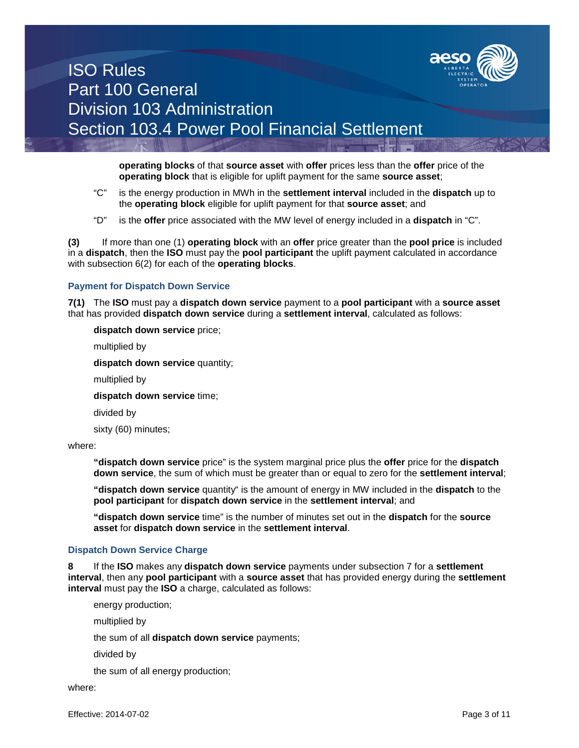

**operating blocks** of that **source asset** with **offer** prices less than the **offer** price of the **operating block** that is eligible for uplift payment for the same **source asset**;

- "C" is the energy production in MWh in the **settlement interval** included in the **dispatch** up to the **operating block** eligible for uplift payment for that **source asset**; and
- "D" is the **offer** price associated with the MW level of energy included in a **dispatch** in "C".

**(3)** If more than one (1) **operating block** with an **offer** price greater than the **pool price** is included in a **dispatch**, then the **ISO** must pay the **pool participant** the uplift payment calculated in accordance with subsection 6(2) for each of the **operating blocks**.

### **Payment for Dispatch Down Service**

**7(1)** The **ISO** must pay a **dispatch down service** payment to a **pool participant** with a **source asset** that has provided **dispatch down service** during a **settlement interval**, calculated as follows:

**dispatch down service** price;

multiplied by

**dispatch down service** quantity;

multiplied by

**dispatch down service** time;

divided by

sixty (60) minutes;

where:

**"dispatch down service** price" is the system marginal price plus the **offer** price for the **dispatch down service**, the sum of which must be greater than or equal to zero for the **settlement interval**;

**"dispatch down service** quantity" is the amount of energy in MW included in the **dispatch** to the **pool participant** for **dispatch down service** in the **settlement interval**; and

**"dispatch down service** time" is the number of minutes set out in the **dispatch** for the **source asset** for **dispatch down service** in the **settlement interval**.

### **Dispatch Down Service Charge**

**8** If the **ISO** makes any **dispatch down service** payments under subsection 7 for a **settlement interval**, then any **pool participant** with a **source asset** that has provided energy during the **settlement interval** must pay the **ISO** a charge, calculated as follows:

energy production;

multiplied by

the sum of all **dispatch down service** payments;

divided by

the sum of all energy production;

where: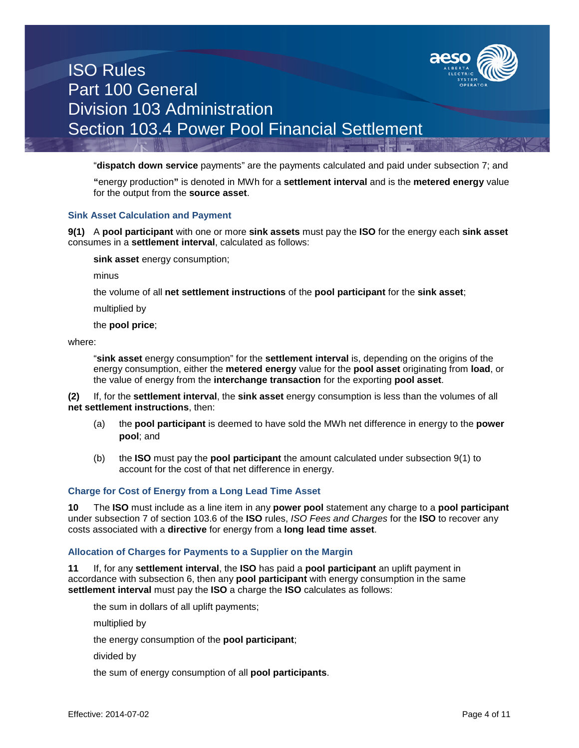

"**dispatch down service** payments" are the payments calculated and paid under subsection 7; and

**"**energy production**"** is denoted in MWh for a **settlement interval** and is the **metered energy** value for the output from the **source asset**.

#### **Sink Asset Calculation and Payment**

**9(1)** A **pool participant** with one or more **sink assets** must pay the **ISO** for the energy each **sink asset** consumes in a **settlement interval**, calculated as follows:

**sink asset** energy consumption;

minus

the volume of all **net settlement instructions** of the **pool participant** for the **sink asset**;

multiplied by

the **pool price**;

where:

"**sink asset** energy consumption" for the **settlement interval** is, depending on the origins of the energy consumption, either the **metered energy** value for the **pool asset** originating from **load**, or the value of energy from the **interchange transaction** for the exporting **pool asset**.

**(2)** If, for the **settlement interval**, the **sink asset** energy consumption is less than the volumes of all **net settlement instructions**, then:

- (a) the **pool participant** is deemed to have sold the MWh net difference in energy to the **power pool**; and
- (b) the **ISO** must pay the **pool participant** the amount calculated under subsection 9(1) to account for the cost of that net difference in energy.

### **Charge for Cost of Energy from a Long Lead Time Asset**

**10** The **ISO** must include as a line item in any **power pool** statement any charge to a **pool participant**  under subsection 7 of section 103.6 of the **ISO** rules, *ISO Fees and Charges* for the **ISO** to recover any costs associated with a **directive** for energy from a **long lead time asset**.

### **Allocation of Charges for Payments to a Supplier on the Margin**

**11** If, for any **settlement interval**, the **ISO** has paid a **pool participant** an uplift payment in accordance with subsection 6, then any **pool participant** with energy consumption in the same **settlement interval** must pay the **ISO** a charge the **ISO** calculates as follows:

the sum in dollars of all uplift payments;

multiplied by

the energy consumption of the **pool participant**;

divided by

the sum of energy consumption of all **pool participants**.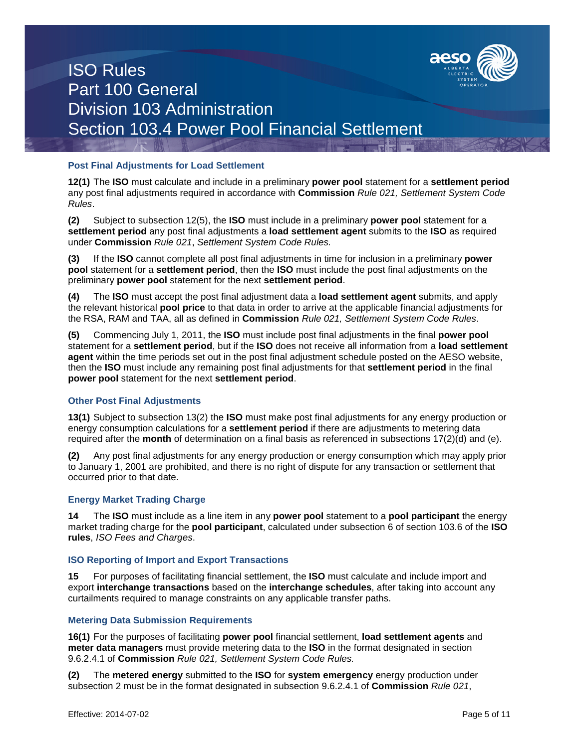

### **Post Final Adjustments for Load Settlement**

**12(1)** The **ISO** must calculate and include in a preliminary **power pool** statement for a **settlement period** any post final adjustments required in accordance with **Commission** *Rule 021, Settlement System Code Rules*.

**(2)** Subject to subsection 12(5), the **ISO** must include in a preliminary **power pool** statement for a **settlement period** any post final adjustments a **load settlement agent** submits to the **ISO** as required under **Commission** *Rule 021*, *Settlement System Code Rules.*

**(3)** If the **ISO** cannot complete all post final adjustments in time for inclusion in a preliminary **power pool** statement for a **settlement period**, then the **ISO** must include the post final adjustments on the preliminary **power pool** statement for the next **settlement period**.

**(4)** The **ISO** must accept the post final adjustment data a **load settlement agent** submits, and apply the relevant historical **pool price** to that data in order to arrive at the applicable financial adjustments for the RSA, RAM and TAA, all as defined in **Commission** *Rule 021, Settlement System Code Rules*.

**(5)** Commencing July 1, 2011, the **ISO** must include post final adjustments in the final **power pool**  statement for a **settlement period**, but if the **ISO** does not receive all information from a **load settlement agent** within the time periods set out in the post final adjustment schedule posted on the AESO website, then the **ISO** must include any remaining post final adjustments for that **settlement period** in the final **power pool** statement for the next **settlement period**.

## **Other Post Final Adjustments**

**13(1)** Subject to subsection 13(2) the **ISO** must make post final adjustments for any energy production or energy consumption calculations for a **settlement period** if there are adjustments to metering data required after the **month** of determination on a final basis as referenced in subsections 17(2)(d) and (e).

**(2)** Any post final adjustments for any energy production or energy consumption which may apply prior to January 1, 2001 are prohibited, and there is no right of dispute for any transaction or settlement that occurred prior to that date.

### **Energy Market Trading Charge**

**14** The **ISO** must include as a line item in any **power pool** statement to a **pool participant** the energy market trading charge for the **pool participant**, calculated under subsection 6 of section 103.6 of the **ISO rules**, *ISO Fees and Charges*.

### **ISO Reporting of Import and Export Transactions**

**15** For purposes of facilitating financial settlement, the **ISO** must calculate and include import and export **interchange transactions** based on the **interchange schedules**, after taking into account any curtailments required to manage constraints on any applicable transfer paths.

### **Metering Data Submission Requirements**

**16(1)** For the purposes of facilitating **power pool** financial settlement, **load settlement agents** and **meter data managers** must provide metering data to the **ISO** in the format designated in section 9.6.2.4.1 of **Commission** *Rule 021, Settlement System Code Rules.*

**(2)** The **metered energy** submitted to the **ISO** for **system emergency** energy production under subsection 2 must be in the format designated in subsection 9.6.2.4.1 of **Commission** *Rule 021*,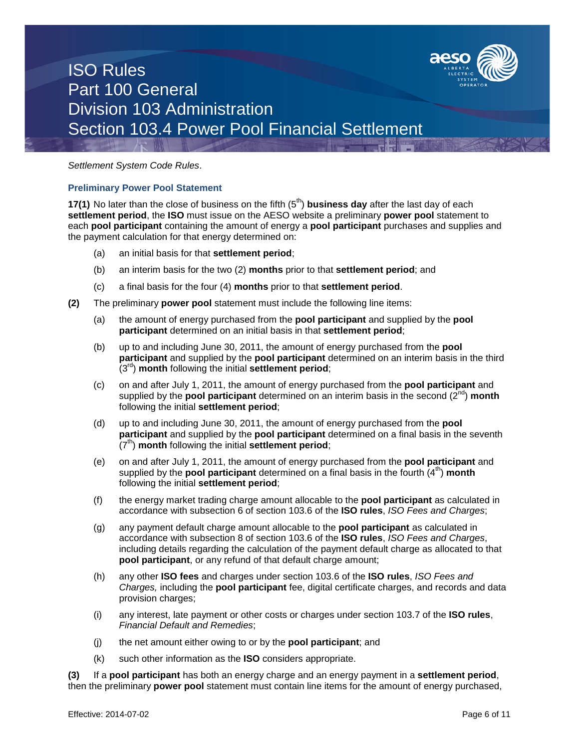

### *Settlement System Code Rules*.

#### **Preliminary Power Pool Statement**

**17(1)** No later than the close of business on the fifth (5<sup>th</sup>) **business day** after the last day of each **settlement period**, the **ISO** must issue on the AESO website a preliminary **power pool** statement to each **pool participant** containing the amount of energy a **pool participant** purchases and supplies and the payment calculation for that energy determined on:

- (a) an initial basis for that **settlement period**;
- (b) an interim basis for the two (2) **months** prior to that **settlement period**; and
- (c) a final basis for the four (4) **months** prior to that **settlement period**.
- **(2)** The preliminary **power pool** statement must include the following line items:
	- (a) the amount of energy purchased from the **pool participant** and supplied by the **pool participant** determined on an initial basis in that **settlement period**;
	- (b) up to and including June 30, 2011, the amount of energy purchased from the **pool participant** and supplied by the **pool participant** determined on an interim basis in the third (3rd) **month** following the initial **settlement period**;
	- (c) on and after July 1, 2011, the amount of energy purchased from the **pool participant** and supplied by the **pool participant** determined on an interim basis in the second (2<sup>nd</sup>) **month** following the initial **settlement period**;
	- (d) up to and including June 30, 2011, the amount of energy purchased from the **pool participant** and supplied by the **pool participant** determined on a final basis in the seventh (7<sup>th</sup>) **month** following the initial **settlement period**;
	- (e) on and after July 1, 2011, the amount of energy purchased from the **pool participant** and supplied by the **pool participant** determined on a final basis in the fourth  $(4^{th})$  month following the initial **settlement period**;
	- (f) the energy market trading charge amount allocable to the **pool participant** as calculated in accordance with subsection 6 of section 103.6 of the **ISO rules**, *ISO Fees and Charges*;
	- (g) any payment default charge amount allocable to the **pool participant** as calculated in accordance with subsection 8 of section 103.6 of the **ISO rules**, *ISO Fees and Charges*, including details regarding the calculation of the payment default charge as allocated to that **pool participant**, or any refund of that default charge amount;
	- (h) any other **ISO fees** and charges under section 103.6 of the **ISO rules**, *ISO Fees and Charges,* including the **pool participant** fee, digital certificate charges, and records and data provision charges;
	- (i) any interest, late payment or other costs or charges under section 103.7 of the **ISO rules**, *Financial Default and Remedies*;
	- (j) the net amount either owing to or by the **pool participant**; and
	- (k) such other information as the **ISO** considers appropriate.

**(3)** If a **pool participant** has both an energy charge and an energy payment in a **settlement period**, then the preliminary **power pool** statement must contain line items for the amount of energy purchased,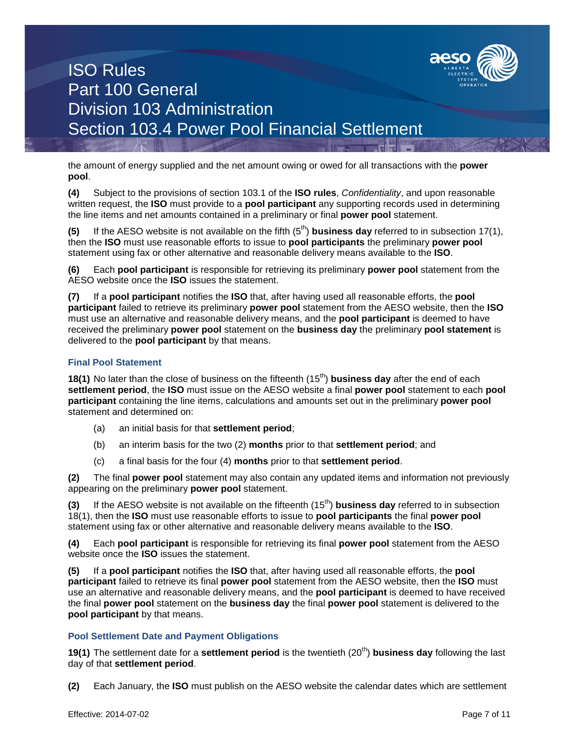

the amount of energy supplied and the net amount owing or owed for all transactions with the **power pool**.

**(4)** Subject to the provisions of section 103.1 of the **ISO rules**, *Confidentiality*, and upon reasonable written request, the **ISO** must provide to a **pool participant** any supporting records used in determining the line items and net amounts contained in a preliminary or final **power pool** statement.

**(5)** If the AESO website is not available on the fifth  $(5<sup>th</sup>)$  **business day** referred to in subsection 17(1), then the **ISO** must use reasonable efforts to issue to **pool participants** the preliminary **power pool**  statement using fax or other alternative and reasonable delivery means available to the **ISO**.

**(6)** Each **pool participant** is responsible for retrieving its preliminary **power pool** statement from the AESO website once the **ISO** issues the statement.

**(7)** If a **pool participant** notifies the **ISO** that, after having used all reasonable efforts, the **pool participant** failed to retrieve its preliminary **power pool** statement from the AESO website, then the **ISO** must use an alternative and reasonable delivery means, and the **pool participant** is deemed to have received the preliminary **power pool** statement on the **business day** the preliminary **pool statement** is delivered to the **pool participant** by that means.

## **Final Pool Statement**

**18(1)** No later than the close of business on the fifteenth (15<sup>th</sup>) **business day** after the end of each **settlement period**, the **ISO** must issue on the AESO website a final **power pool** statement to each **pool participant** containing the line items, calculations and amounts set out in the preliminary **power pool** statement and determined on:

- (a) an initial basis for that **settlement period**;
- (b) an interim basis for the two (2) **months** prior to that **settlement period**; and
- (c) a final basis for the four (4) **months** prior to that **settlement period**.

**(2)** The final **power pool** statement may also contain any updated items and information not previously appearing on the preliminary **power pool** statement.

**(3)** If the AESO website is not available on the fifteenth (15<sup>th</sup>) **business day** referred to in subsection 18(1), then the **ISO** must use reasonable efforts to issue to **pool participants** the final **power pool**  statement using fax or other alternative and reasonable delivery means available to the **ISO**.

**(4)** Each **pool participant** is responsible for retrieving its final **power pool** statement from the AESO website once the **ISO** issues the statement.

**(5)** If a **pool participant** notifies the **ISO** that, after having used all reasonable efforts, the **pool participant** failed to retrieve its final **power pool** statement from the AESO website, then the **ISO** must use an alternative and reasonable delivery means, and the **pool participant** is deemed to have received the final **power pool** statement on the **business day** the final **power pool** statement is delivered to the **pool participant** by that means.

### **Pool Settlement Date and Payment Obligations**

**19(1)** The settlement date for a **settlement period** is the twentieth (20<sup>th</sup>) **business day** following the last day of that **settlement period**.

**(2)** Each January, the **ISO** must publish on the AESO website the calendar dates which are settlement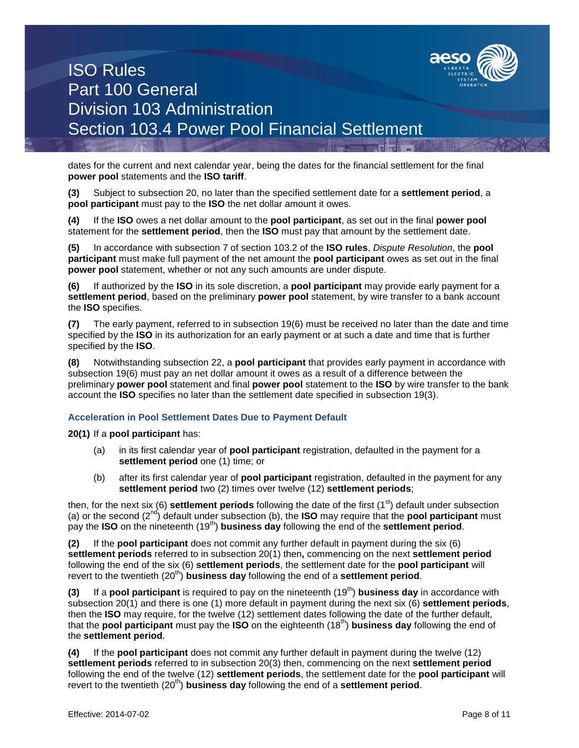

dates for the current and next calendar year, being the dates for the financial settlement for the final **power pool** statements and the **ISO tariff**.

**(3)** Subject to subsection 20, no later than the specified settlement date for a **settlement period**, a **pool participant** must pay to the **ISO** the net dollar amount it owes.

**(4)** If the **ISO** owes a net dollar amount to the **pool participant**, as set out in the final **power pool**  statement for the **settlement period**, then the **ISO** must pay that amount by the settlement date.

**(5)** In accordance with subsection 7 of section 103.2 of the **ISO rules**, *Dispute Resolution*, the **pool participant** must make full payment of the net amount the **pool participant** owes as set out in the final **power pool** statement, whether or not any such amounts are under dispute.

**(6)** If authorized by the **ISO** in its sole discretion, a **pool participant** may provide early payment for a **settlement period**, based on the preliminary **power pool** statement, by wire transfer to a bank account the **ISO** specifies.

**(7)** The early payment, referred to in subsection 19(6) must be received no later than the date and time specified by the **ISO** in its authorization for an early payment or at such a date and time that is further specified by the **ISO**.

**(8)** Notwithstanding subsection 22, a **pool participant** that provides early payment in accordance with subsection 19(6) must pay an net dollar amount it owes as a result of a difference between the preliminary **power pool** statement and final **power pool** statement to the **ISO** by wire transfer to the bank account the **ISO** specifies no later than the settlement date specified in subsection 19(3).

### **Acceleration in Pool Settlement Dates Due to Payment Default**

**20(1)** If a **pool participant** has:

- (a) in its first calendar year of **pool participant** registration, defaulted in the payment for a **settlement period** one (1) time; or
- (b) after its first calendar year of **pool participant** registration, defaulted in the payment for any **settlement period** two (2) times over twelve (12) **settlement periods**;

then, for the next six (6) **settlement periods** following the date of the first (1<sup>st</sup>) default under subsection (a) or the second (2nd) default under subsection (b), the **ISO** may require that the **pool participant** must pay the **ISO** on the nineteenth (19th) **business day** following the end of the **settlement period**.

**(2)** If the **pool participant** does not commit any further default in payment during the six (6) **settlement periods** referred to in subsection 20(1) then**,** commencing on the next **settlement period** following the end of the six (6) **settlement periods**, the settlement date for the **pool participant** will revert to the twentieth (20<sup>th</sup>) **business day** following the end of a **settlement period**.

**(3)** If a **pool participant** is required to pay on the nineteenth (19<sup>th</sup>) **business day** in accordance with subsection 20(1) and there is one (1) more default in payment during the next six (6) **settlement periods**, then the **ISO** may require, for the twelve (12) settlement dates following the date of the further default, that the **pool participant** must pay the **ISO** on the eighteenth (18th) **business day** following the end of the **settlement period**.

**(4)** If the **pool participant** does not commit any further default in payment during the twelve (12) **settlement periods** referred to in subsection 20(3) then, commencing on the next **settlement period** following the end of the twelve (12) **settlement periods**, the settlement date for the **pool participant** will revert to the twentieth (20<sup>th</sup>) **business day** following the end of a **settlement period**.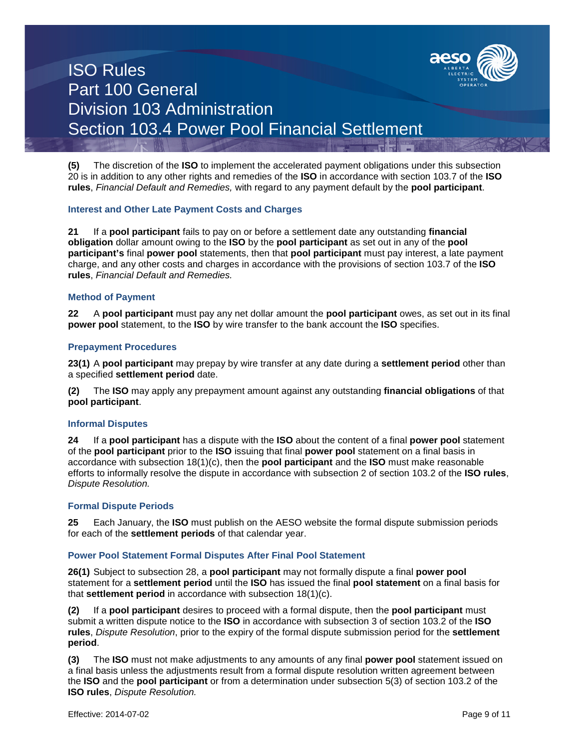

**(5)** The discretion of the **ISO** to implement the accelerated payment obligations under this subsection 20 is in addition to any other rights and remedies of the **ISO** in accordance with section 103.7 of the **ISO rules**, *Financial Default and Remedies,* with regard to any payment default by the **pool participant**.

#### **Interest and Other Late Payment Costs and Charges**

**21** If a **pool participant** fails to pay on or before a settlement date any outstanding **financial obligation** dollar amount owing to the **ISO** by the **pool participant** as set out in any of the **pool participant's** final **power pool** statements, then that **pool participant** must pay interest, a late payment charge, and any other costs and charges in accordance with the provisions of section 103.7 of the **ISO rules**, *Financial Default and Remedies.*

#### **Method of Payment**

**22** A **pool participant** must pay any net dollar amount the **pool participant** owes, as set out in its final **power pool** statement, to the **ISO** by wire transfer to the bank account the **ISO** specifies.

#### **Prepayment Procedures**

**23(1)** A **pool participant** may prepay by wire transfer at any date during a **settlement period** other than a specified **settlement period** date.

**(2)** The **ISO** may apply any prepayment amount against any outstanding **financial obligations** of that **pool participant**.

#### **Informal Disputes**

**24** If a **pool participant** has a dispute with the **ISO** about the content of a final **power pool** statement of the **pool participant** prior to the **ISO** issuing that final **power pool** statement on a final basis in accordance with subsection 18(1)(c), then the **pool participant** and the **ISO** must make reasonable efforts to informally resolve the dispute in accordance with subsection 2 of section 103.2 of the **ISO rules**, *Dispute Resolution.*

#### **Formal Dispute Periods**

**25** Each January, the **ISO** must publish on the AESO website the formal dispute submission periods for each of the **settlement periods** of that calendar year.

### **Power Pool Statement Formal Disputes After Final Pool Statement**

**26(1)** Subject to subsection 28, a **pool participant** may not formally dispute a final **power pool** statement for a **settlement period** until the **ISO** has issued the final **pool statement** on a final basis for that **settlement period** in accordance with subsection 18(1)(c).

**(2)** If a **pool participant** desires to proceed with a formal dispute, then the **pool participant** must submit a written dispute notice to the **ISO** in accordance with subsection 3 of section 103.2 of the **ISO rules**, *Dispute Resolution*, prior to the expiry of the formal dispute submission period for the **settlement period**.

**(3)** The **ISO** must not make adjustments to any amounts of any final **power pool** statement issued on a final basis unless the adjustments result from a formal dispute resolution written agreement between the **ISO** and the **pool participant** or from a determination under subsection 5(3) of section 103.2 of the **ISO rules**, *Dispute Resolution.*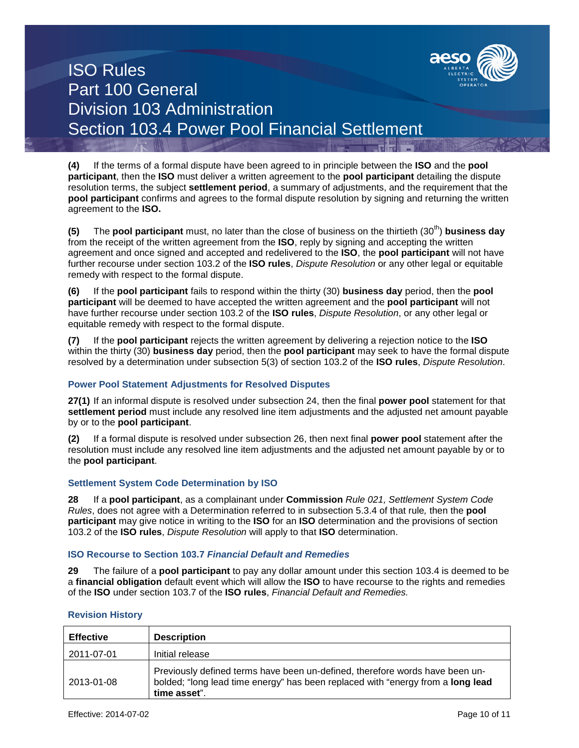

**(4)** If the terms of a formal dispute have been agreed to in principle between the **ISO** and the **pool participant**, then the **ISO** must deliver a written agreement to the **pool participant** detailing the dispute resolution terms, the subject **settlement period**, a summary of adjustments, and the requirement that the **pool participant** confirms and agrees to the formal dispute resolution by signing and returning the written agreement to the **ISO.**

**(5)** The **pool participant** must, no later than the close of business on the thirtieth (30<sup>th</sup>) **business day** from the receipt of the written agreement from the **ISO**, reply by signing and accepting the written agreement and once signed and accepted and redelivered to the **ISO**, the **pool participant** will not have further recourse under section 103.2 of the **ISO rules**, *Dispute Resolution* or any other legal or equitable remedy with respect to the formal dispute.

**(6)** If the **pool participant** fails to respond within the thirty (30) **business day** period, then the **pool participant** will be deemed to have accepted the written agreement and the **pool participant** will not have further recourse under section 103.2 of the **ISO rules**, *Dispute Resolution*, or any other legal or equitable remedy with respect to the formal dispute.

**(7)** If the **pool participant** rejects the written agreement by delivering a rejection notice to the **ISO** within the thirty (30) **business day** period, then the **pool participant** may seek to have the formal dispute resolved by a determination under subsection 5(3) of section 103.2 of the **ISO rules**, *Dispute Resolution*.

## **Power Pool Statement Adjustments for Resolved Disputes**

**27(1)** If an informal dispute is resolved under subsection 24, then the final **power pool** statement for that **settlement period** must include any resolved line item adjustments and the adjusted net amount payable by or to the **pool participant**.

**(2)** If a formal dispute is resolved under subsection 26, then next final **power pool** statement after the resolution must include any resolved line item adjustments and the adjusted net amount payable by or to the **pool participant**.

## **Settlement System Code Determination by ISO**

**28** If a **pool participant**, as a complainant under **Commission** *Rule 021, Settlement System Code Rules*, does not agree with a Determination referred to in subsection 5.3.4 of that rule*,* then the **pool participant** may give notice in writing to the **ISO** for an **ISO** determination and the provisions of section 103.2 of the **ISO rules**, *Dispute Resolution* will apply to that **ISO** determination.

### **ISO Recourse to Section 103.7** *Financial Default and Remedies*

**29** The failure of a **pool participant** to pay any dollar amount under this section 103.4 is deemed to be a **financial obligation** default event which will allow the **ISO** to have recourse to the rights and remedies of the **ISO** under section 103.7 of the **ISO rules**, *Financial Default and Remedies.*

| <b>Effective</b> | <b>Description</b>                                                                                                                                                                     |
|------------------|----------------------------------------------------------------------------------------------------------------------------------------------------------------------------------------|
| 2011-07-01       | Initial release                                                                                                                                                                        |
| 2013-01-08       | Previously defined terms have been un-defined, therefore words have been un-<br>bolded; "long lead time energy" has been replaced with "energy from a <b>long lead</b><br>time asset". |

### **Revision History**